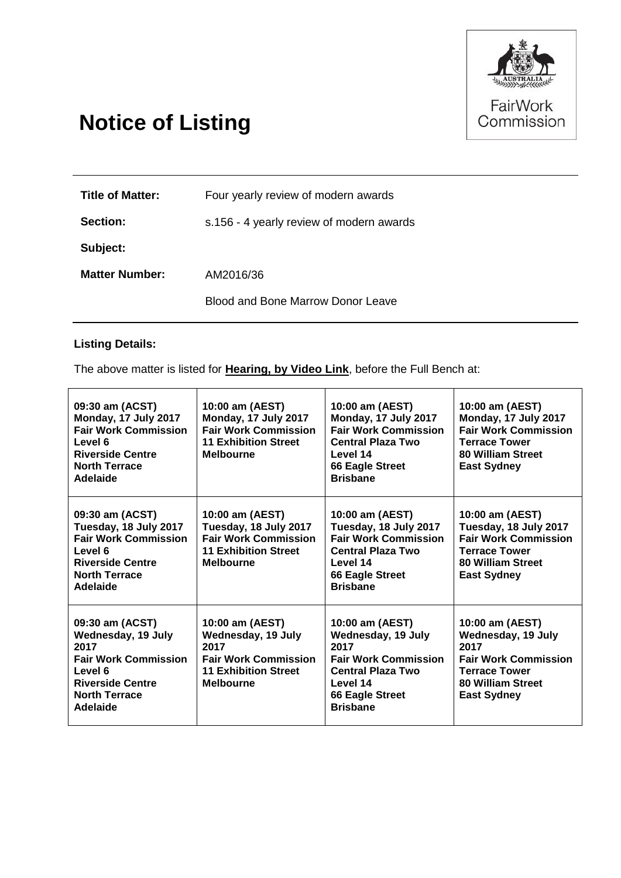

# **Notice of Listing**

| <b>Title of Matter:</b> | Four yearly review of modern awards      |  |
|-------------------------|------------------------------------------|--|
| Section:                | s.156 - 4 yearly review of modern awards |  |
| Subject:                |                                          |  |
| <b>Matter Number:</b>   | AM2016/36                                |  |
|                         | Blood and Bone Marrow Donor Leave        |  |

# **Listing Details:**

The above matter is listed for **Hearing, by Video Link**, before the Full Bench at:

| 09:30 am (ACST)<br>Monday, 17 July 2017<br><b>Fair Work Commission</b><br>Level 6<br><b>Riverside Centre</b><br><b>North Terrace</b><br>Adelaide       | 10:00 am (AEST)<br>Monday, 17 July 2017<br><b>Fair Work Commission</b><br><b>11 Exhibition Street</b><br><b>Melbourne</b>       | 10:00 am (AEST)<br>Monday, 17 July 2017<br><b>Fair Work Commission</b><br><b>Central Plaza Two</b><br>Level 14<br>66 Eagle Street<br><b>Brisbane</b>              | 10:00 am (AEST)<br>Monday, 17 July 2017<br><b>Fair Work Commission</b><br><b>Terrace Tower</b><br>80 William Street<br><b>East Sydney</b>       |
|--------------------------------------------------------------------------------------------------------------------------------------------------------|---------------------------------------------------------------------------------------------------------------------------------|-------------------------------------------------------------------------------------------------------------------------------------------------------------------|-------------------------------------------------------------------------------------------------------------------------------------------------|
| 09:30 am (ACST)<br>Tuesday, 18 July 2017<br><b>Fair Work Commission</b><br>Level 6<br><b>Riverside Centre</b><br><b>North Terrace</b><br>Adelaide      | 10:00 am (AEST)<br>Tuesday, 18 July 2017<br><b>Fair Work Commission</b><br><b>11 Exhibition Street</b><br><b>Melbourne</b>      | 10:00 am (AEST)<br>Tuesday, 18 July 2017<br><b>Fair Work Commission</b><br><b>Central Plaza Two</b><br>Level 14<br>66 Eagle Street<br><b>Brisbane</b>             | 10:00 am (AEST)<br>Tuesday, 18 July 2017<br><b>Fair Work Commission</b><br><b>Terrace Tower</b><br>80 William Street<br><b>East Sydney</b>      |
| 09:30 am (ACST)<br>Wednesday, 19 July<br>2017<br><b>Fair Work Commission</b><br>Level 6<br><b>Riverside Centre</b><br><b>North Terrace</b><br>Adelaide | 10:00 am (AEST)<br>Wednesday, 19 July<br>2017<br><b>Fair Work Commission</b><br><b>11 Exhibition Street</b><br><b>Melbourne</b> | 10:00 am (AEST)<br>Wednesday, 19 July<br>2017<br><b>Fair Work Commission</b><br><b>Central Plaza Two</b><br>Level 14<br><b>66 Eagle Street</b><br><b>Brisbane</b> | 10:00 am (AEST)<br>Wednesday, 19 July<br>2017<br><b>Fair Work Commission</b><br><b>Terrace Tower</b><br>80 William Street<br><b>East Sydney</b> |